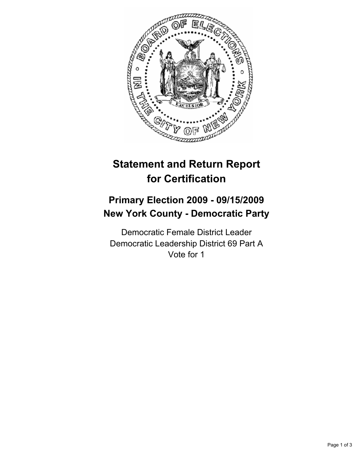

# **Statement and Return Report for Certification**

## **Primary Election 2009 - 09/15/2009 New York County - Democratic Party**

Democratic Female District Leader Democratic Leadership District 69 Part A Vote for 1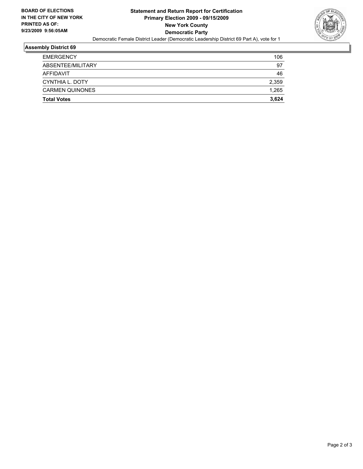

#### **Assembly District 69**

| <b>CARMEN QUINONES</b> | 1,265 |
|------------------------|-------|
| CYNTHIA L. DOTY        | 2,359 |
| AFFIDAVIT              | 46    |
| ABSENTEE/MILITARY      | 97    |
| <b>EMERGENCY</b>       | 106   |